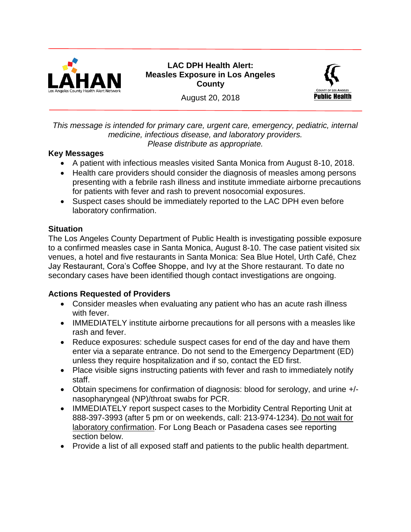

**LAC DPH Health Alert: Measles Exposure in Los Angeles County** 



August 20, 2018

### *This message is intended for primary care, urgent care, emergency, pediatric, internal medicine, infectious disease, and laboratory providers. Please distribute as appropriate.*

## **Key Messages**

- A patient with infectious measles visited Santa Monica from August 8-10, 2018.
- Health care providers should consider the diagnosis of measles among persons presenting with a febrile rash illness and institute immediate airborne precautions for patients with fever and rash to prevent nosocomial exposures.
- Suspect cases should be immediately reported to the LAC DPH even before laboratory confirmation.

## **Situation**

The Los Angeles County Department of Public Health is investigating possible exposure to a confirmed measles case in Santa Monica, August 8-10. The case patient visited six venues, a hotel and five restaurants in Santa Monica: Sea Blue Hotel, Urth Café, Chez Jay Restaurant, Cora's Coffee Shoppe, and Ivy at the Shore restaurant. To date no secondary cases have been identified though contact investigations are ongoing.

# **Actions Requested of Providers**

- Consider measles when evaluating any patient who has an acute rash illness with fever.
- IMMEDIATELY institute airborne precautions for all persons with a measles like rash and fever.
- Reduce exposures: schedule suspect cases for end of the day and have them enter via a separate entrance. Do not send to the Emergency Department (ED) unless they require hospitalization and if so, contact the ED first.
- Place visible signs instructing patients with fever and rash to immediately notify staff.
- Obtain specimens for confirmation of diagnosis: blood for serology, and urine +/ nasopharyngeal (NP)/throat swabs for PCR.
- IMMEDIATELY report suspect cases to the Morbidity Central Reporting Unit at 888-397-3993 (after 5 pm or on weekends, call: 213-974-1234). Do not wait for laboratory confirmation. For Long Beach or Pasadena cases see reporting section below.
- Provide a list of all exposed staff and patients to the public health department.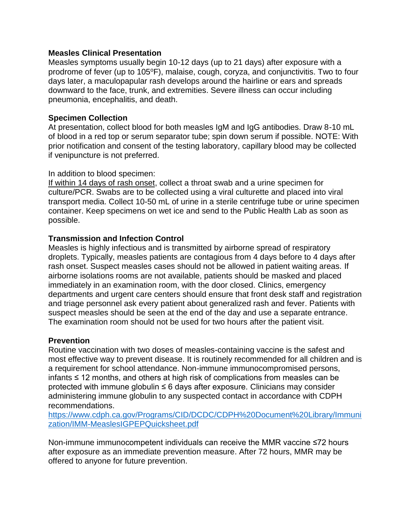#### **Measles Clinical Presentation**

Measles symptoms usually begin 10-12 days (up to 21 days) after exposure with a prodrome of fever (up to 105°F), malaise, cough, coryza, and conjunctivitis. Two to four days later, a maculopapular rash develops around the hairline or ears and spreads downward to the face, trunk, and extremities. Severe illness can occur including pneumonia, encephalitis, and death.

### **Specimen Collection**

At presentation, collect blood for both measles IgM and IgG antibodies. Draw 8-10 mL of blood in a red top or serum separator tube; spin down serum if possible. NOTE: With prior notification and consent of the testing laboratory, capillary blood may be collected if venipuncture is not preferred.

#### In addition to blood specimen:

If within 14 days of rash onset, collect a throat swab and a urine specimen for culture/PCR. Swabs are to be collected using a viral culturette and placed into viral transport media. Collect 10-50 mL of urine in a sterile centrifuge tube or urine specimen container. Keep specimens on wet ice and send to the Public Health Lab as soon as possible.

### **Transmission and Infection Control**

Measles is highly infectious and is transmitted by airborne spread of respiratory droplets. Typically, measles patients are contagious from 4 days before to 4 days after rash onset. Suspect measles cases should not be allowed in patient waiting areas. If airborne isolations rooms are not available, patients should be masked and placed immediately in an examination room, with the door closed. Clinics, emergency departments and urgent care centers should ensure that front desk staff and registration and triage personnel ask every patient about generalized rash and fever. Patients with suspect measles should be seen at the end of the day and use a separate entrance. The examination room should not be used for two hours after the patient visit.

### **Prevention**

Routine vaccination with two doses of measles-containing vaccine is the safest and most effective way to prevent disease. It is routinely recommended for all children and is a requirement for school attendance. Non-immune immunocompromised persons, infants ≤ 12 months, and others at high risk of complications from measles can be protected with immune globulin ≤ 6 days after exposure. Clinicians may consider administering immune globulin to any suspected contact in accordance with CDPH recommendations.

[https://www.cdph.ca.gov/Programs/CID/DCDC/CDPH%20Document%20Library/Immuni](https://www.cdph.ca.gov/Programs/CID/DCDC/CDPH%20Document%20Library/Immunization/IMM-MeaslesIGPEPQuicksheet.pdf) [zation/IMM-MeaslesIGPEPQuicksheet.pdf](https://www.cdph.ca.gov/Programs/CID/DCDC/CDPH%20Document%20Library/Immunization/IMM-MeaslesIGPEPQuicksheet.pdf)

Non-immune immunocompetent individuals can receive the MMR vaccine ≤72 hours after exposure as an immediate prevention measure. After 72 hours, MMR may be offered to anyone for future prevention.